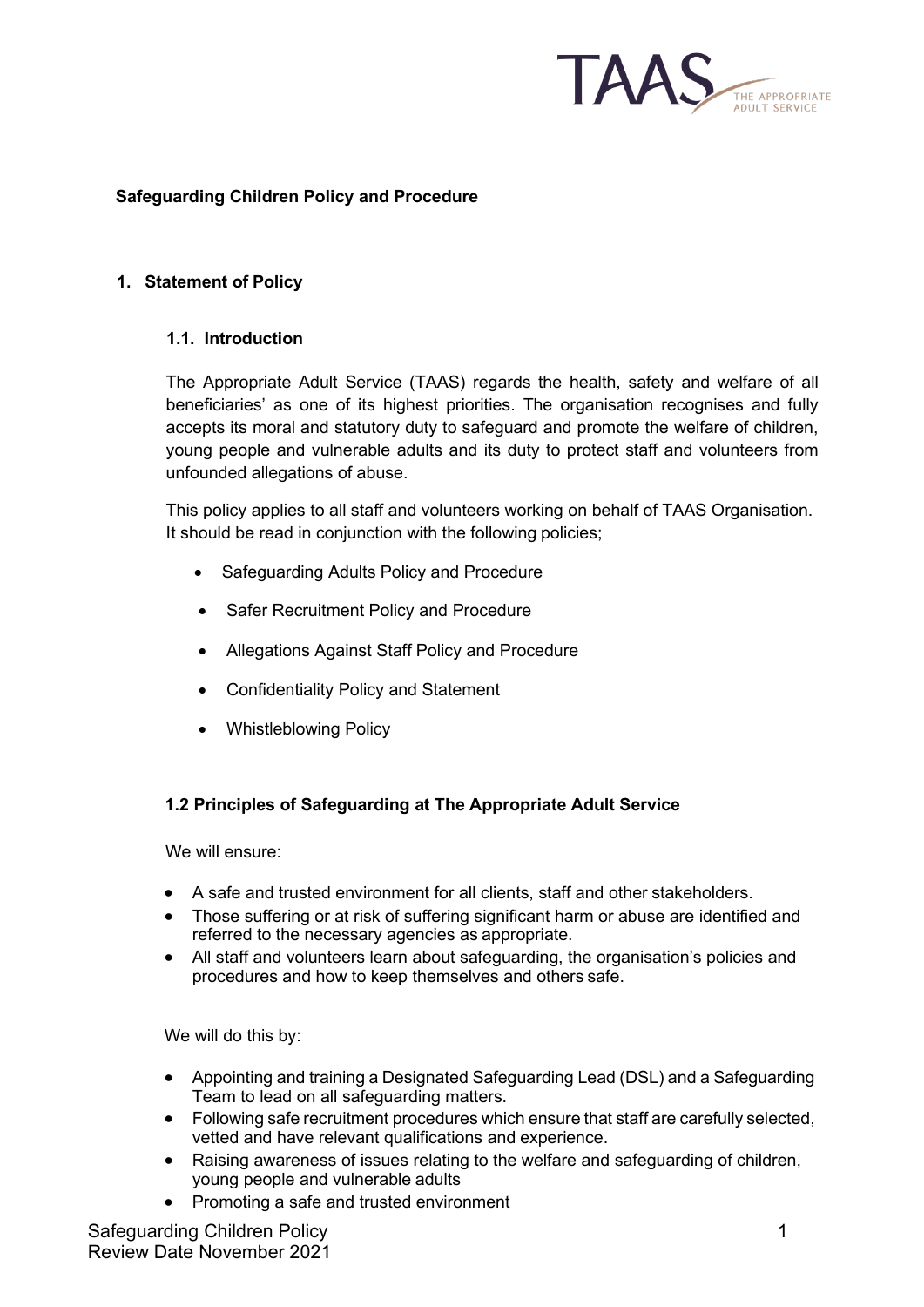

## **Safeguarding Children Policy and Procedure**

#### **1. Statement of Policy**

#### **1.1. Introduction**

The Appropriate Adult Service (TAAS) regards the health, safety and welfare of all beneficiaries' as one of its highest priorities. The organisation recognises and fully accepts its moral and statutory duty to safeguard and promote the welfare of children, young people and vulnerable adults and its duty to protect staff and volunteers from unfounded allegations of abuse.

This policy applies to all staff and volunteers working on behalf of TAAS Organisation. It should be read in conjunction with the following policies;

- Safeguarding Adults Policy and Procedure
- Safer Recruitment Policy and Procedure
- Allegations Against Staff Policy and Procedure
- Confidentiality Policy and Statement
- Whistleblowing Policy

#### **1.2 Principles of Safeguarding at The Appropriate Adult Service**

We will ensure:

- A safe and trusted environment for all clients, staff and other stakeholders.
- Those suffering or at risk of suffering significant harm or abuse are identified and referred to the necessary agencies as appropriate.
- All staff and volunteers learn about safeguarding, the organisation's policies and procedures and how to keep themselves and others safe.

We will do this by:

- Appointing and training a Designated Safeguarding Lead (DSL) and a Safeguarding Team to lead on all safeguarding matters.
- Following safe recruitment procedures which ensure that staff are carefully selected, vetted and have relevant qualifications and experience.
- Raising awareness of issues relating to the welfare and safeguarding of children, young people and vulnerable adults
- Promoting a safe and trusted environment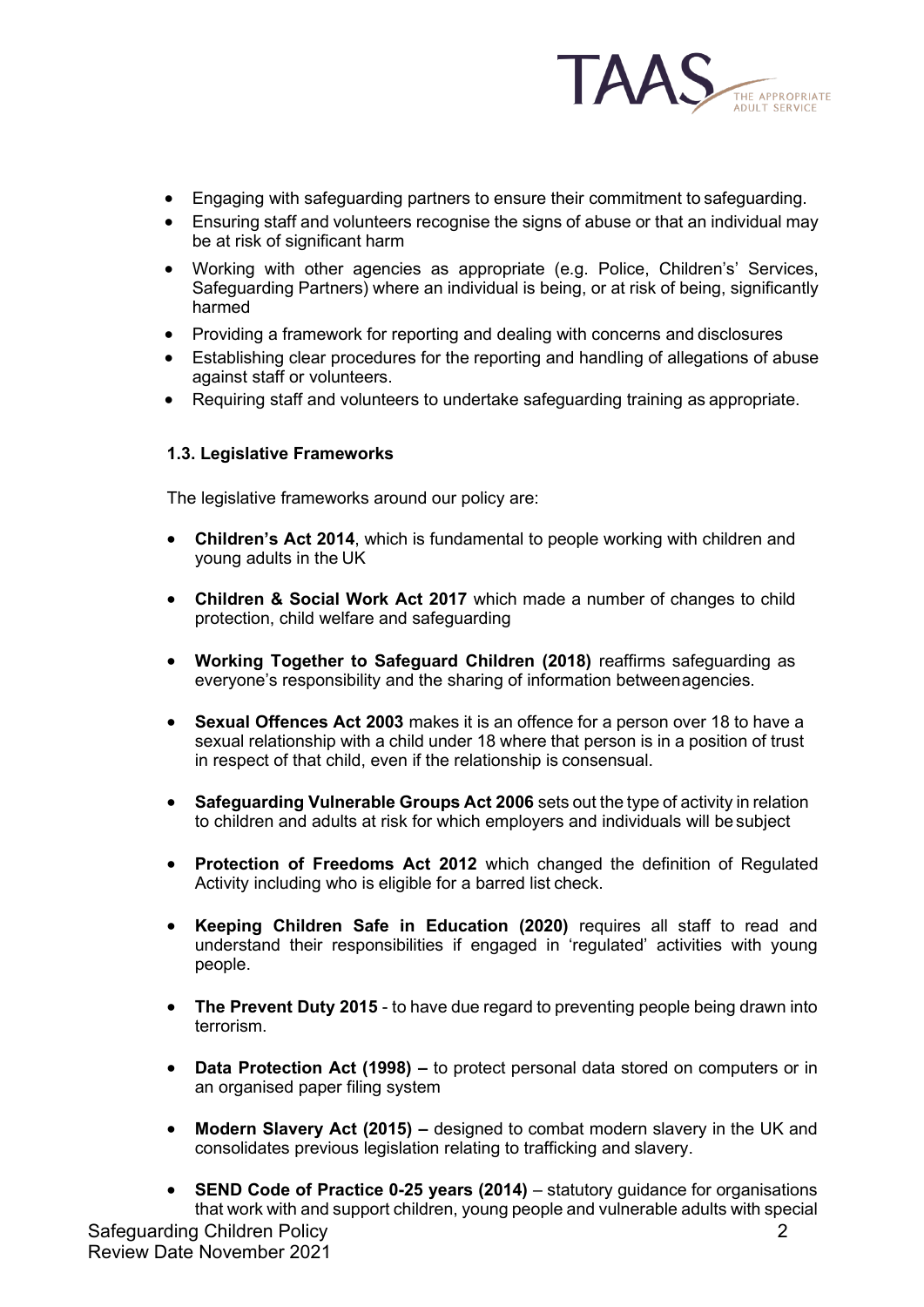

- Engaging with safeguarding partners to ensure their commitment to safeguarding.
- Ensuring staff and volunteers recognise the signs of abuse or that an individual may be at risk of significant harm
- Working with other agencies as appropriate (e.g. Police, Children's' Services, Safeguarding Partners) where an individual is being, or at risk of being, significantly harmed
- Providing a framework for reporting and dealing with concerns and disclosures
- Establishing clear procedures for the reporting and handling of allegations of abuse against staff or volunteers.
- Requiring staff and volunteers to undertake safeguarding training as appropriate.

## **1.3. Legislative Frameworks**

The legislative frameworks around our policy are:

- **Children's Act 2014**, which is fundamental to people working with children and young adults in the UK
- **Children & Social Work Act 2017** which made a number of changes to child protection, child welfare and safeguarding
- **Working Together to Safeguard Children (2018)** reaffirms safeguarding as everyone's responsibility and the sharing of information betweenagencies.
- **Sexual Offences Act 2003** makes it is an offence for a person over 18 to have a sexual relationship with a child under 18 where that person is in a position of trust in respect of that child, even if the relationship is consensual.
- **Safeguarding Vulnerable Groups Act 2006** sets out the type of activity in relation to children and adults at risk for which employers and individuals will be subject
- **Protection of Freedoms Act 2012** which changed the definition of Regulated Activity including who is eligible for a barred list check.
- **Keeping Children Safe in Education (2020)** requires all staff to read and understand their responsibilities if engaged in 'regulated' activities with young people.
- **The Prevent Duty 2015** to have due regard to preventing people being drawn into terrorism.
- **Data Protection Act (1998) –** to protect personal data stored on computers or in an organised paper filing system
- **Modern Slavery Act (2015) –** designed to combat modern slavery in the UK and consolidates previous legislation relating to trafficking and slavery.
- Safeguarding Children Policy Review Date November 2021 2 • **SEND Code of Practice 0-25 years (2014)** – statutory guidance for organisations that work with and support children, young people and vulnerable adults with special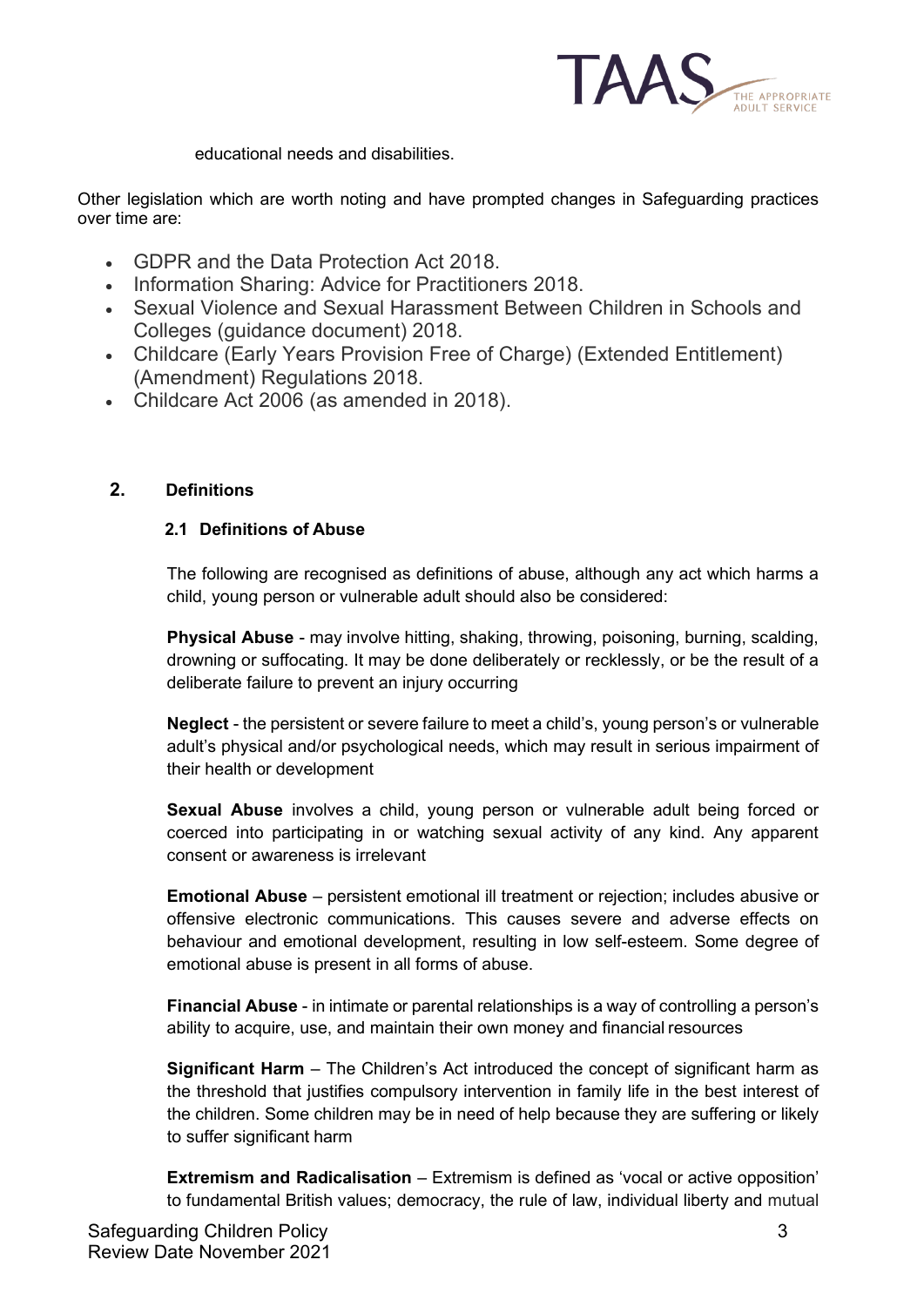

educational needs and disabilities.

Other legislation which are worth noting and have prompted changes in Safeguarding practices over time are:

- GDPR and the Data Protection Act 2018.
- Information Sharing: Advice for Practitioners 2018.
- Sexual Violence and Sexual Harassment Between Children in Schools and Colleges (guidance document) 2018.
- Childcare (Early Years Provision Free of Charge) (Extended Entitlement) (Amendment) Regulations 2018.
- Childcare Act 2006 (as amended in 2018).

## **2. Definitions**

## **2.1 Definitions of Abuse**

The following are recognised as definitions of abuse, although any act which harms a child, young person or vulnerable adult should also be considered:

**Physical Abuse** - may involve hitting, shaking, throwing, poisoning, burning, scalding, drowning or suffocating. It may be done deliberately or recklessly, or be the result of a deliberate failure to prevent an injury occurring

**Neglect** - the persistent or severe failure to meet a child's, young person's or vulnerable adult's physical and/or psychological needs, which may result in serious impairment of their health or development

**Sexual Abuse** involves a child, young person or vulnerable adult being forced or coerced into participating in or watching sexual activity of any kind. Any apparent consent or awareness is irrelevant

**Emotional Abuse** – persistent emotional ill treatment or rejection; includes abusive or offensive electronic communications. This causes severe and adverse effects on behaviour and emotional development, resulting in low self-esteem. Some degree of emotional abuse is present in all forms of abuse.

**Financial Abuse** - in intimate or parental relationships is a way of controlling a person's ability to acquire, use, and maintain their own money and financial resources

**Significant Harm** – The Children's Act introduced the concept of significant harm as the threshold that justifies compulsory intervention in family life in the best interest of the children. Some children may be in need of help because they are suffering or likely to suffer significant harm

**Extremism and Radicalisation** – Extremism is defined as 'vocal or active opposition' to fundamental British values; democracy, the rule of law, individual liberty and mutual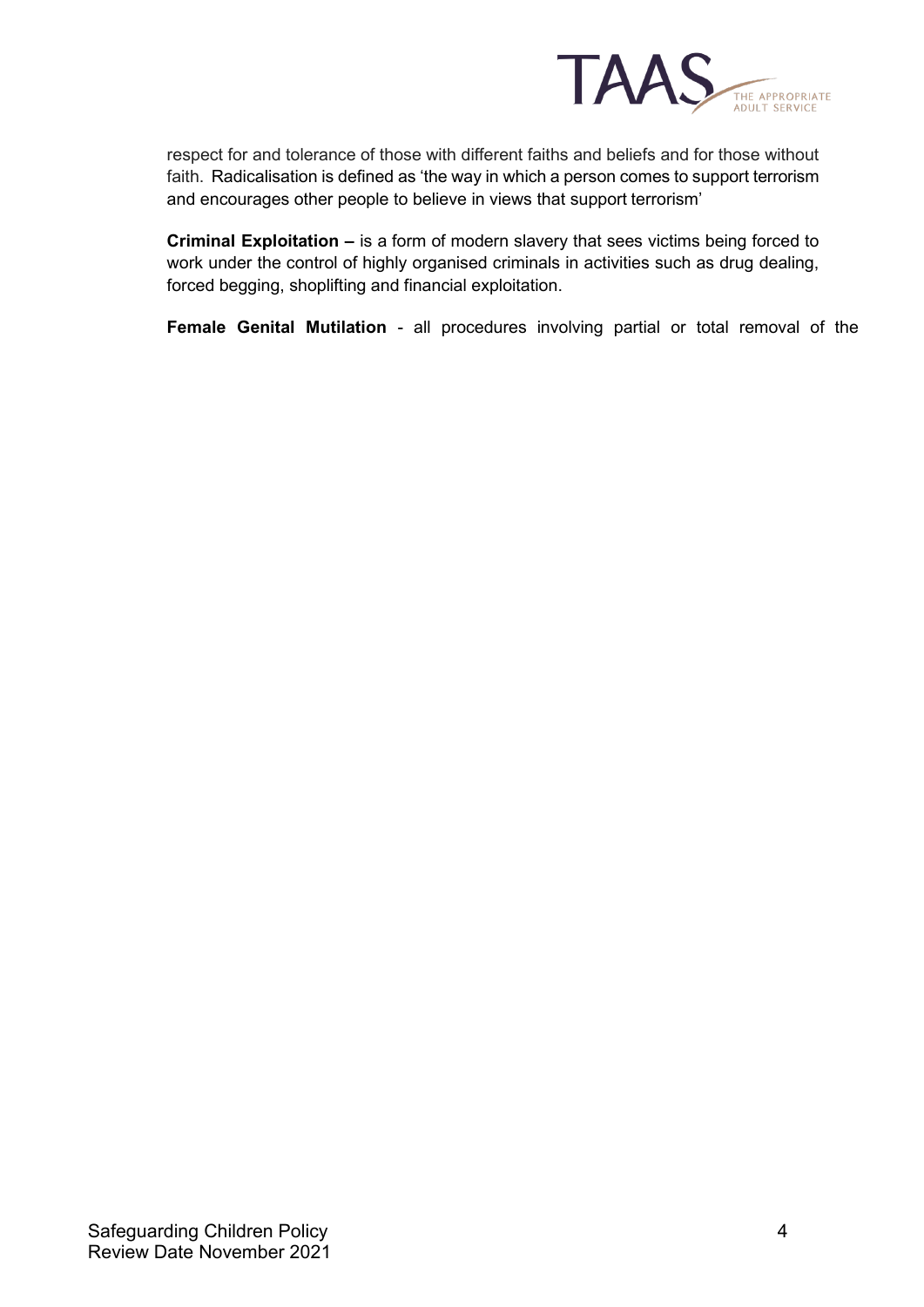

respect for and tolerance of those with different faiths and beliefs and for those without faith. Radicalisation is defined as 'the way in which a person comes to support terrorism and encourages other people to believe in views that support terrorism'

**Criminal Exploitation –** is a form of modern slavery that sees victims being forced to work under the control of highly organised criminals in activities such as drug dealing, forced begging, shoplifting and financial exploitation.

**Female Genital Mutilation** - all procedures involving partial or total removal of the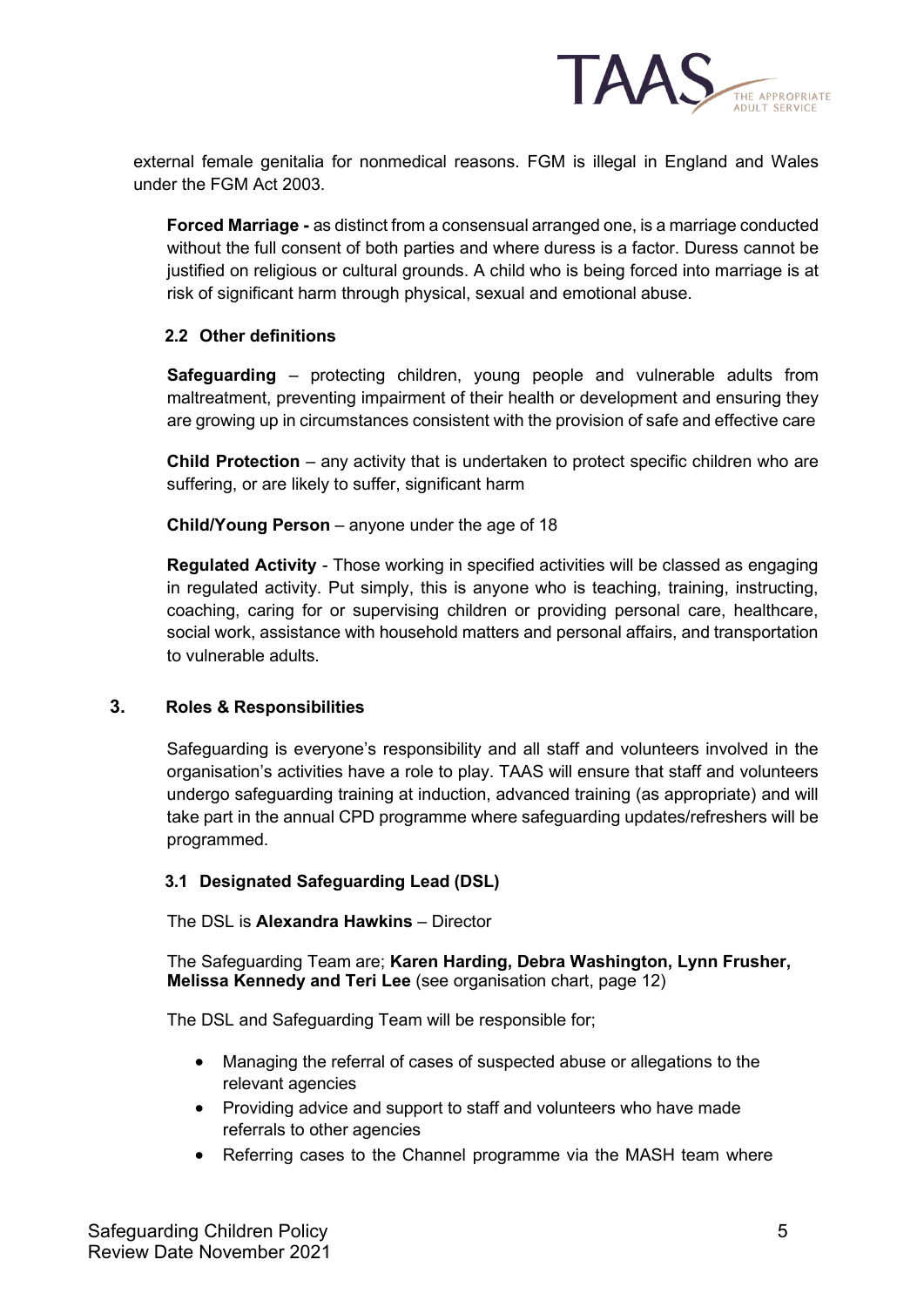

external female genitalia for nonmedical reasons. FGM is illegal in England and Wales under the FGM Act 2003.

**Forced Marriage -** as distinct from a consensual arranged one, is a marriage conducted without the full consent of both parties and where duress is a factor. Duress cannot be justified on religious or cultural grounds. A child who is being forced into marriage is at risk of significant harm through physical, sexual and emotional abuse.

## **2.2 Other definitions**

**Safeguarding** – protecting children, young people and vulnerable adults from maltreatment, preventing impairment of their health or development and ensuring they are growing up in circumstances consistent with the provision of safe and effective care

**Child Protection** – any activity that is undertaken to protect specific children who are suffering, or are likely to suffer, significant harm

**Child/Young Person** – anyone under the age of 18

**Regulated Activity** - Those working in specified activities will be classed as engaging in regulated activity. Put simply, this is anyone who is teaching, training, instructing, coaching, caring for or supervising children or providing personal care, healthcare, social work, assistance with household matters and personal affairs, and transportation to vulnerable adults.

#### **3. Roles & Responsibilities**

Safeguarding is everyone's responsibility and all staff and volunteers involved in the organisation's activities have a role to play. TAAS will ensure that staff and volunteers undergo safeguarding training at induction, advanced training (as appropriate) and will take part in the annual CPD programme where safeguarding updates/refreshers will be programmed.

#### **3.1 Designated Safeguarding Lead (DSL)**

The DSL is **Alexandra Hawkins** – Director

The Safeguarding Team are; **Karen Harding, Debra Washington, Lynn Frusher, Melissa Kennedy and Teri Lee** (see organisation chart, page 12)

The DSL and Safeguarding Team will be responsible for;

- Managing the referral of cases of suspected abuse or allegations to the relevant agencies
- Providing advice and support to staff and volunteers who have made referrals to other agencies
- Referring cases to the Channel programme via the MASH team where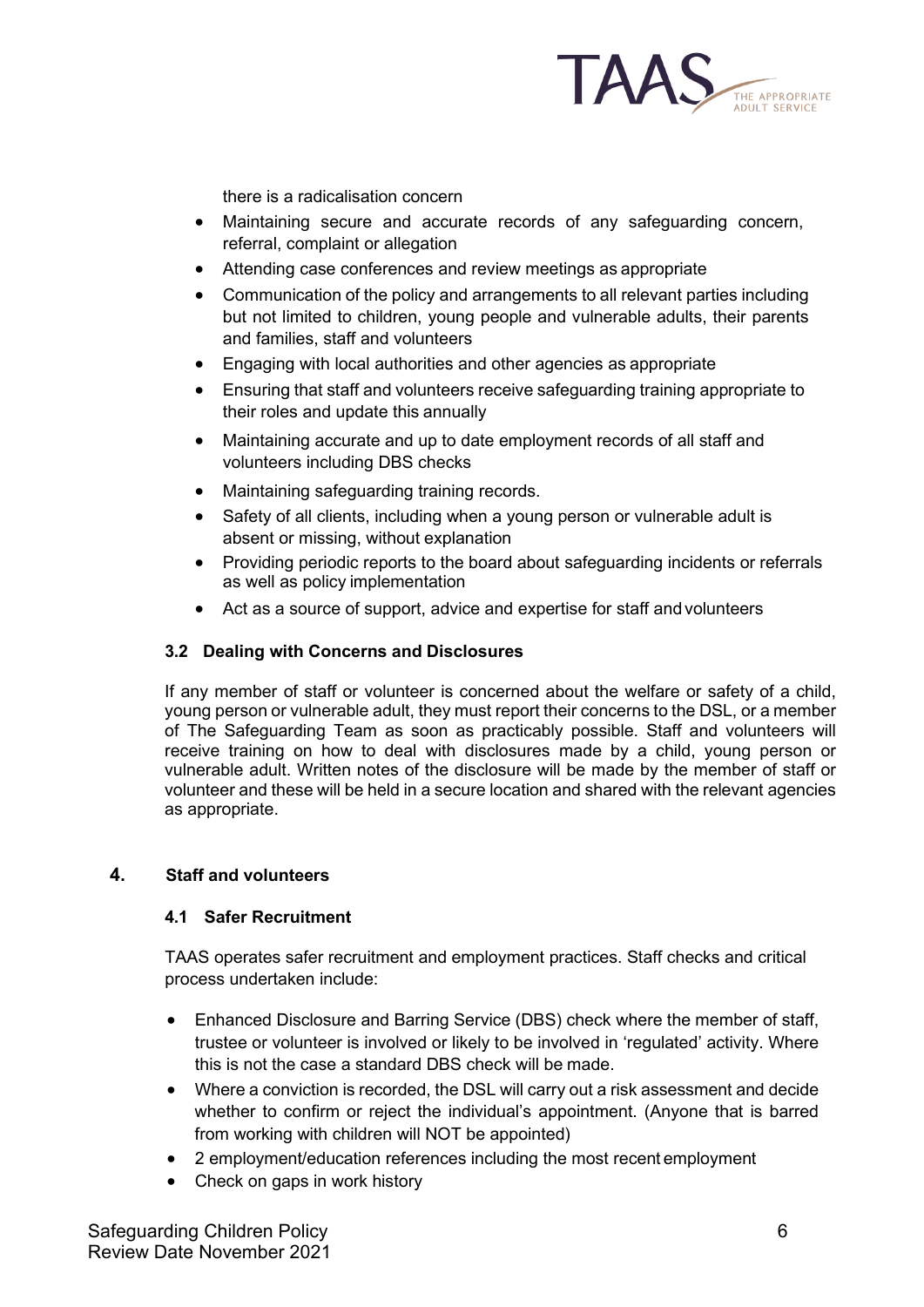

there is a radicalisation concern

- Maintaining secure and accurate records of any safeguarding concern, referral, complaint or allegation
- Attending case conferences and review meetings as appropriate
- Communication of the policy and arrangements to all relevant parties including but not limited to children, young people and vulnerable adults, their parents and families, staff and volunteers
- Engaging with local authorities and other agencies as appropriate
- Ensuring that staff and volunteers receive safeguarding training appropriate to their roles and update this annually
- Maintaining accurate and up to date employment records of all staff and volunteers including DBS checks
- Maintaining safeguarding training records.
- Safety of all clients, including when a young person or vulnerable adult is absent or missing, without explanation
- Providing periodic reports to the board about safeguarding incidents or referrals as well as policy implementation
- Act as a source of support, advice and expertise for staff and volunteers

## **3.2 Dealing with Concerns and Disclosures**

If any member of staff or volunteer is concerned about the welfare or safety of a child, young person or vulnerable adult, they must report their concerns to the DSL, or a member of The Safeguarding Team as soon as practicably possible. Staff and volunteers will receive training on how to deal with disclosures made by a child, young person or vulnerable adult. Written notes of the disclosure will be made by the member of staff or volunteer and these will be held in a secure location and shared with the relevant agencies as appropriate.

## **4. Staff and volunteers**

## **4.1 Safer Recruitment**

TAAS operates safer recruitment and employment practices. Staff checks and critical process undertaken include:

- Enhanced Disclosure and Barring Service (DBS) check where the member of staff, trustee or volunteer is involved or likely to be involved in 'regulated' activity. Where this is not the case a standard DBS check will be made.
- Where a conviction is recorded, the DSL will carry out a risk assessment and decide whether to confirm or reject the individual's appointment. (Anyone that is barred from working with children will NOT be appointed)
- 2 employment/education references including the most recent employment
- Check on gaps in work history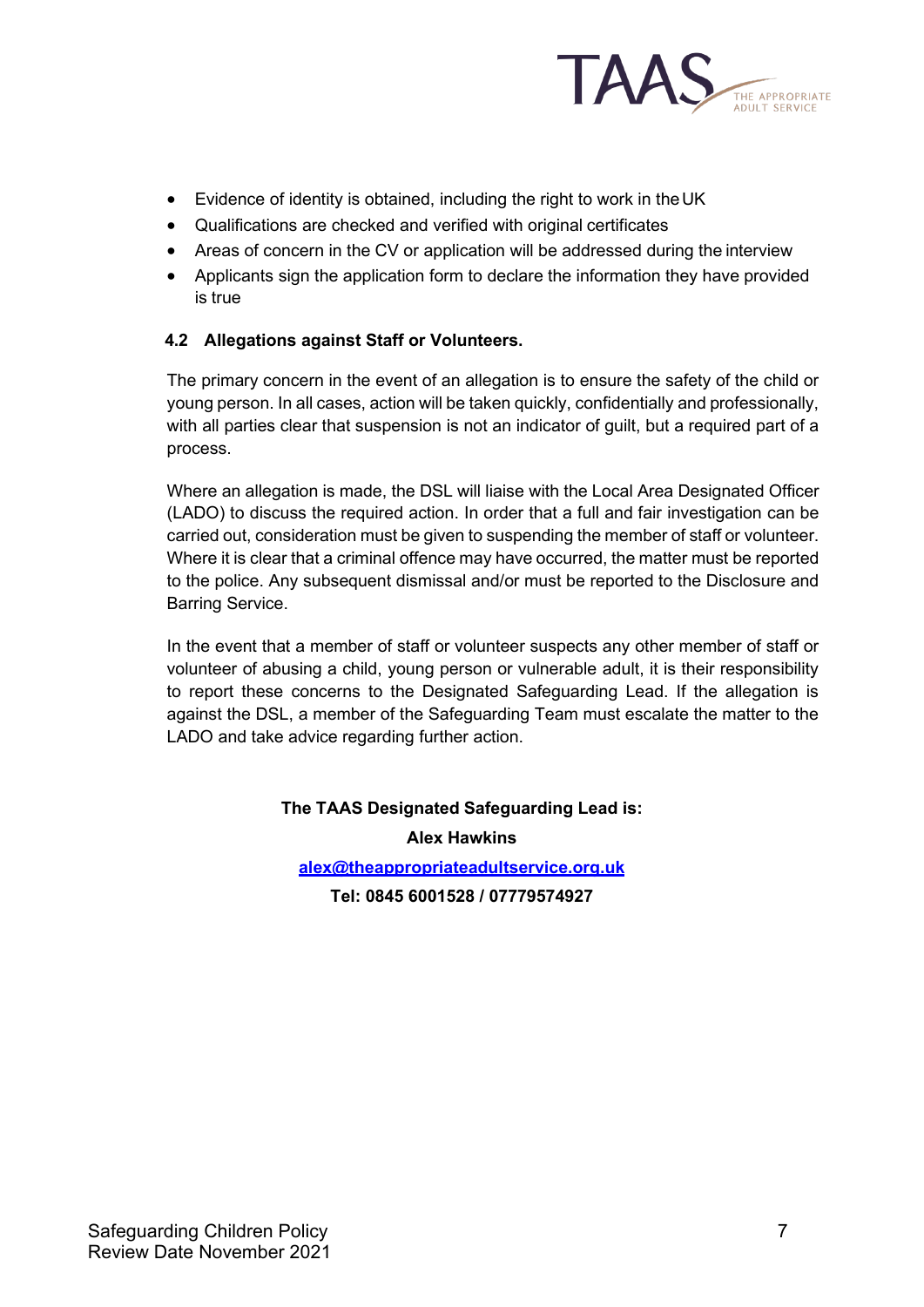

- Evidence of identity is obtained, including the right to work in the UK
- Qualifications are checked and verified with original certificates
- Areas of concern in the CV or application will be addressed during the interview
- Applicants sign the application form to declare the information they have provided is true

## **4.2 Allegations against Staff or Volunteers.**

The primary concern in the event of an allegation is to ensure the safety of the child or young person. In all cases, action will be taken quickly, confidentially and professionally, with all parties clear that suspension is not an indicator of guilt, but a required part of a process.

Where an allegation is made, the DSL will liaise with the Local Area Designated Officer (LADO) to discuss the required action. In order that a full and fair investigation can be carried out, consideration must be given to suspending the member of staff or volunteer. Where it is clear that a criminal offence may have occurred, the matter must be reported to the police. Any subsequent dismissal and/or must be reported to the Disclosure and Barring Service.

In the event that a member of staff or volunteer suspects any other member of staff or volunteer of abusing a child, young person or vulnerable adult, it is their responsibility to report these concerns to the Designated Safeguarding Lead. If the allegation is against the DSL, a member of the Safeguarding Team must escalate the matter to the LADO and take advice regarding further action.

# **The TAAS Designated Safeguarding Lead is:**

**Alex Hawkins** 

**[alex@theappropriateadultservice.org.uk](mailto:alex@theappropriateadultservice.org.uk)**

**Tel: 0845 6001528 / 07779574927**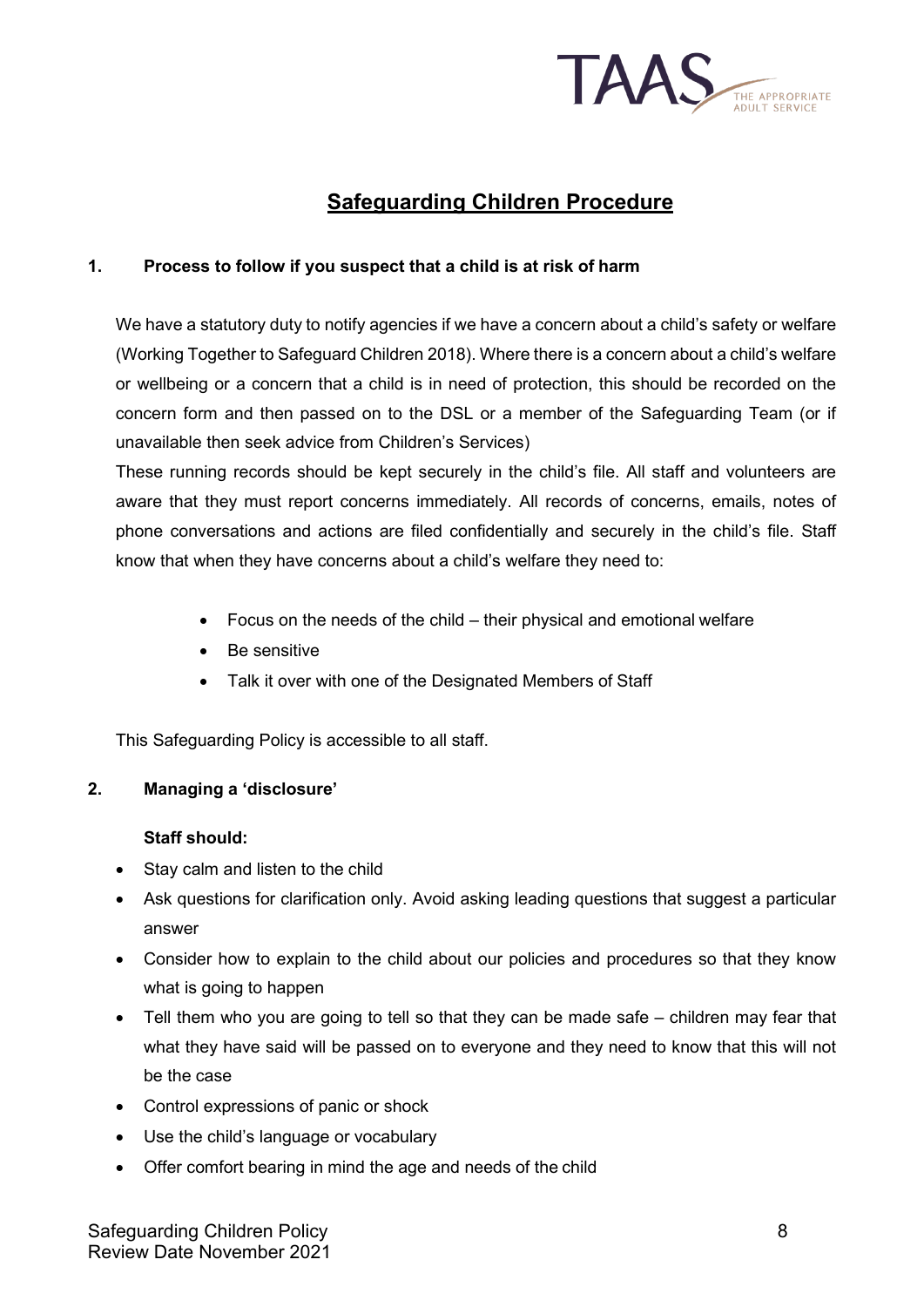

# **Safeguarding Children Procedure**

## **1. Process to follow if you suspect that a child is at risk of harm**

We have a statutory duty to notify agencies if we have a concern about a child's safety or welfare (Working Together to Safeguard Children 2018). Where there is a concern about a child's welfare or wellbeing or a concern that a child is in need of protection, this should be recorded on the concern form and then passed on to the DSL or a member of the Safeguarding Team (or if unavailable then seek advice from Children's Services)

These running records should be kept securely in the child's file. All staff and volunteers are aware that they must report concerns immediately. All records of concerns, emails, notes of phone conversations and actions are filed confidentially and securely in the child's file. Staff know that when they have concerns about a child's welfare they need to:

- Focus on the needs of the child their physical and emotional welfare
- Be sensitive
- Talk it over with one of the Designated Members of Staff

This Safeguarding Policy is accessible to all staff.

#### **2. Managing a 'disclosure'**

#### **Staff should:**

- Stay calm and listen to the child
- Ask questions for clarification only. Avoid asking leading questions that suggest a particular answer
- Consider how to explain to the child about our policies and procedures so that they know what is going to happen
- Tell them who you are going to tell so that they can be made safe children may fear that what they have said will be passed on to everyone and they need to know that this will not be the case
- Control expressions of panic or shock
- Use the child's language or vocabulary
- Offer comfort bearing in mind the age and needs of the child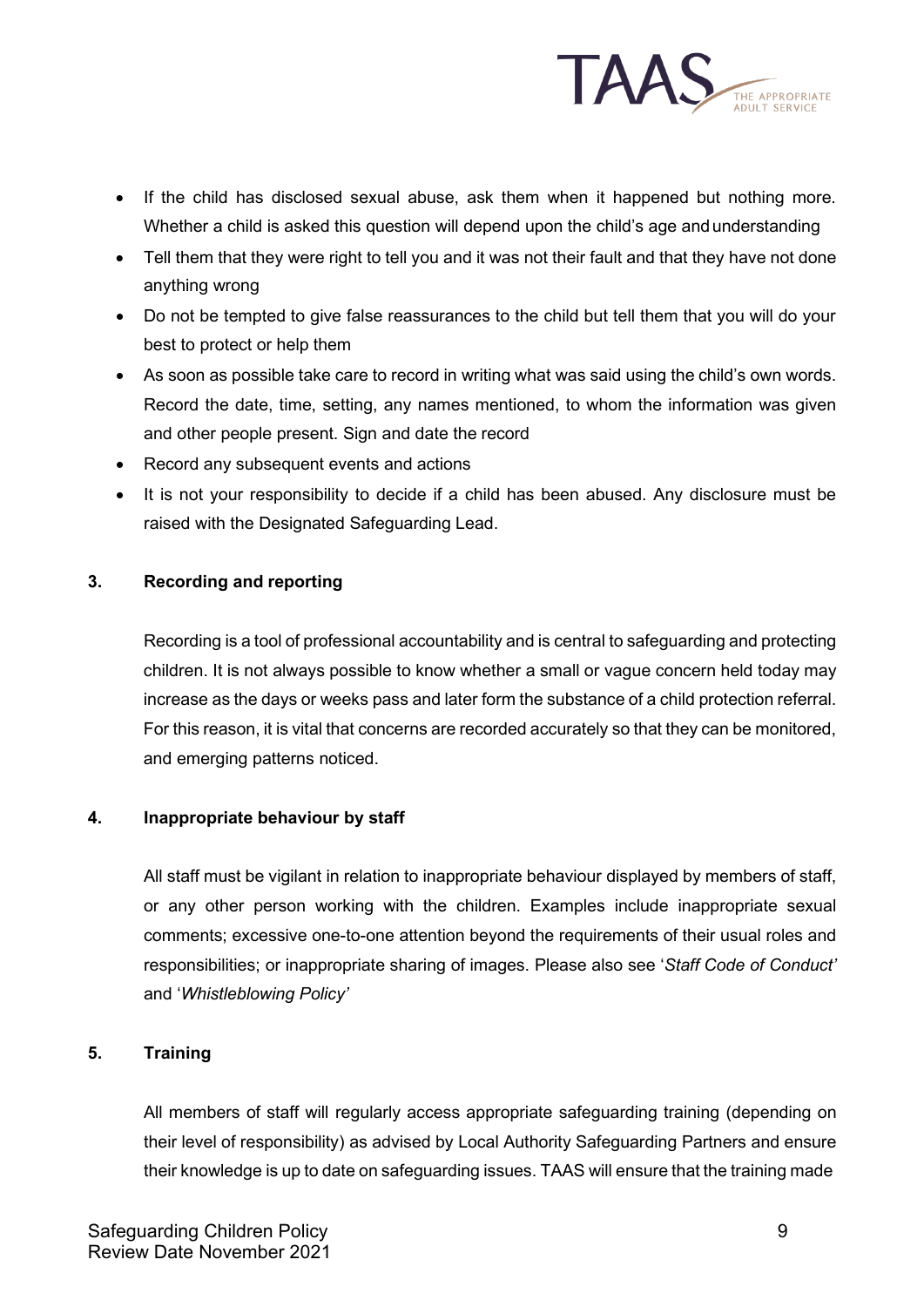

- If the child has disclosed sexual abuse, ask them when it happened but nothing more. Whether a child is asked this question will depend upon the child's age andunderstanding
- Tell them that they were right to tell you and it was not their fault and that they have not done anything wrong
- Do not be tempted to give false reassurances to the child but tell them that you will do your best to protect or help them
- As soon as possible take care to record in writing what was said using the child's own words. Record the date, time, setting, any names mentioned, to whom the information was given and other people present. Sign and date the record
- Record any subsequent events and actions
- It is not your responsibility to decide if a child has been abused. Any disclosure must be raised with the Designated Safeguarding Lead.

## **3. Recording and reporting**

Recording is a tool of professional accountability and is central to safeguarding and protecting children. It is not always possible to know whether a small or vague concern held today may increase as the days or weeks pass and later form the substance of a child protection referral. For this reason, it is vital that concerns are recorded accurately so that they can be monitored, and emerging patterns noticed.

#### **4. Inappropriate behaviour by staff**

All staff must be vigilant in relation to inappropriate behaviour displayed by members of staff, or any other person working with the children. Examples include inappropriate sexual comments; excessive one-to-one attention beyond the requirements of their usual roles and responsibilities; or inappropriate sharing of images. Please also see '*Staff Code of Conduct'*  and '*Whistleblowing Policy'*

## **5. Training**

All members of staff will regularly access appropriate safeguarding training (depending on their level of responsibility) as advised by Local Authority Safeguarding Partners and ensure their knowledge is up to date on safeguarding issues. TAAS will ensure that the training made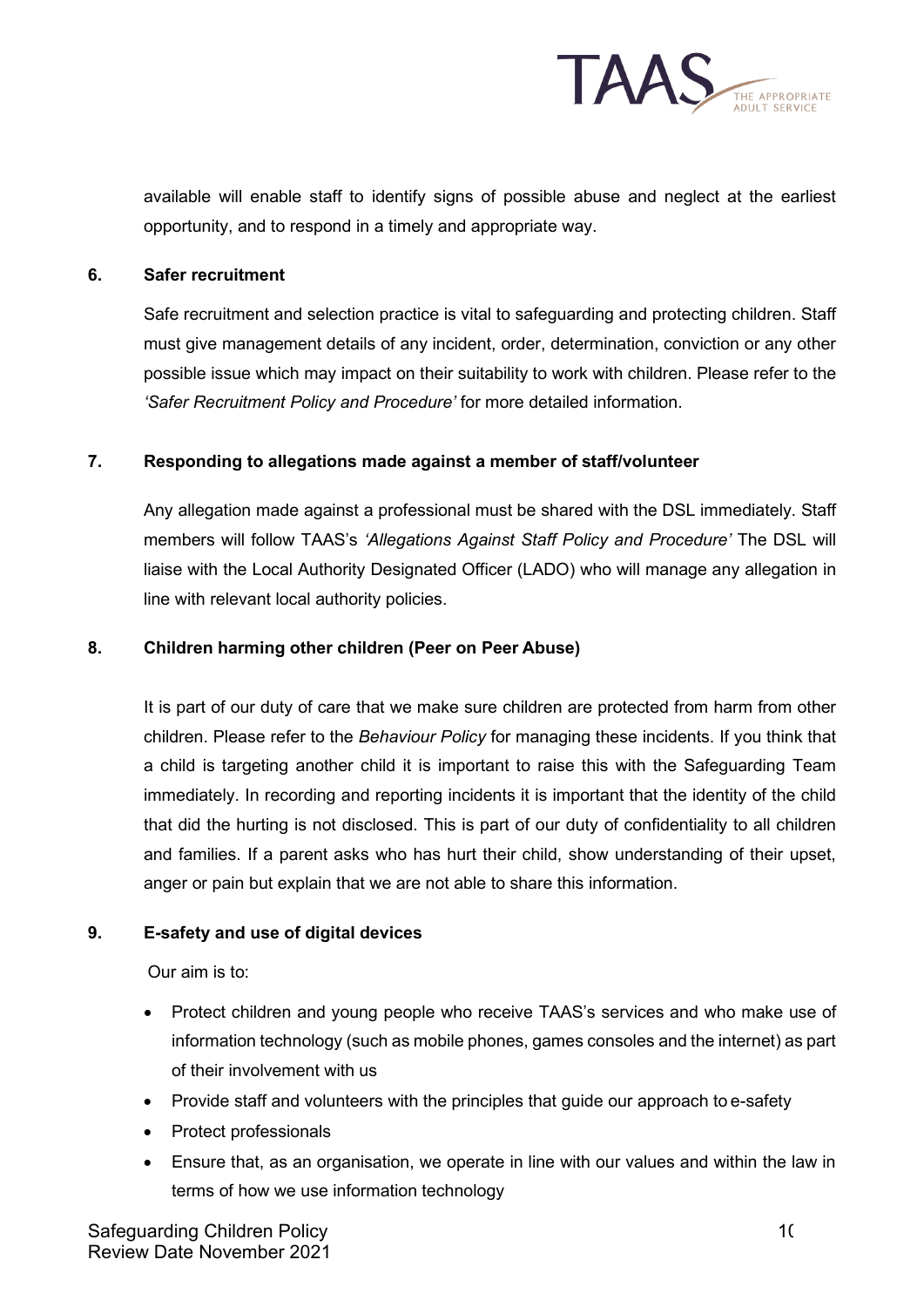

available will enable staff to identify signs of possible abuse and neglect at the earliest opportunity, and to respond in a timely and appropriate way.

#### **6. Safer recruitment**

Safe recruitment and selection practice is vital to safeguarding and protecting children. Staff must give management details of any incident, order, determination, conviction or any other possible issue which may impact on their suitability to work with children. Please refer to the *'Safer Recruitment Policy and Procedure'* for more detailed information.

#### **7. Responding to allegations made against a member of staff/volunteer**

Any allegation made against a professional must be shared with the DSL immediately. Staff members will follow TAAS's *'Allegations Against Staff Policy and Procedure'* The DSL will liaise with the Local Authority Designated Officer (LADO) who will manage any allegation in line with relevant local authority policies.

#### **8. Children harming other children (Peer on Peer Abuse)**

It is part of our duty of care that we make sure children are protected from harm from other children. Please refer to the *Behaviour Policy* for managing these incidents. If you think that a child is targeting another child it is important to raise this with the Safeguarding Team immediately. In recording and reporting incidents it is important that the identity of the child that did the hurting is not disclosed. This is part of our duty of confidentiality to all children and families. If a parent asks who has hurt their child, show understanding of their upset, anger or pain but explain that we are not able to share this information.

#### **9. E-safety and use of digital devices**

Our aim is to:

- Protect children and young people who receive TAAS's services and who make use of information technology (such as mobile phones, games consoles and the internet) as part of their involvement with us
- Provide staff and volunteers with the principles that guide our approach to e-safety
- Protect professionals
- Ensure that, as an organisation, we operate in line with our values and within the law in terms of how we use information technology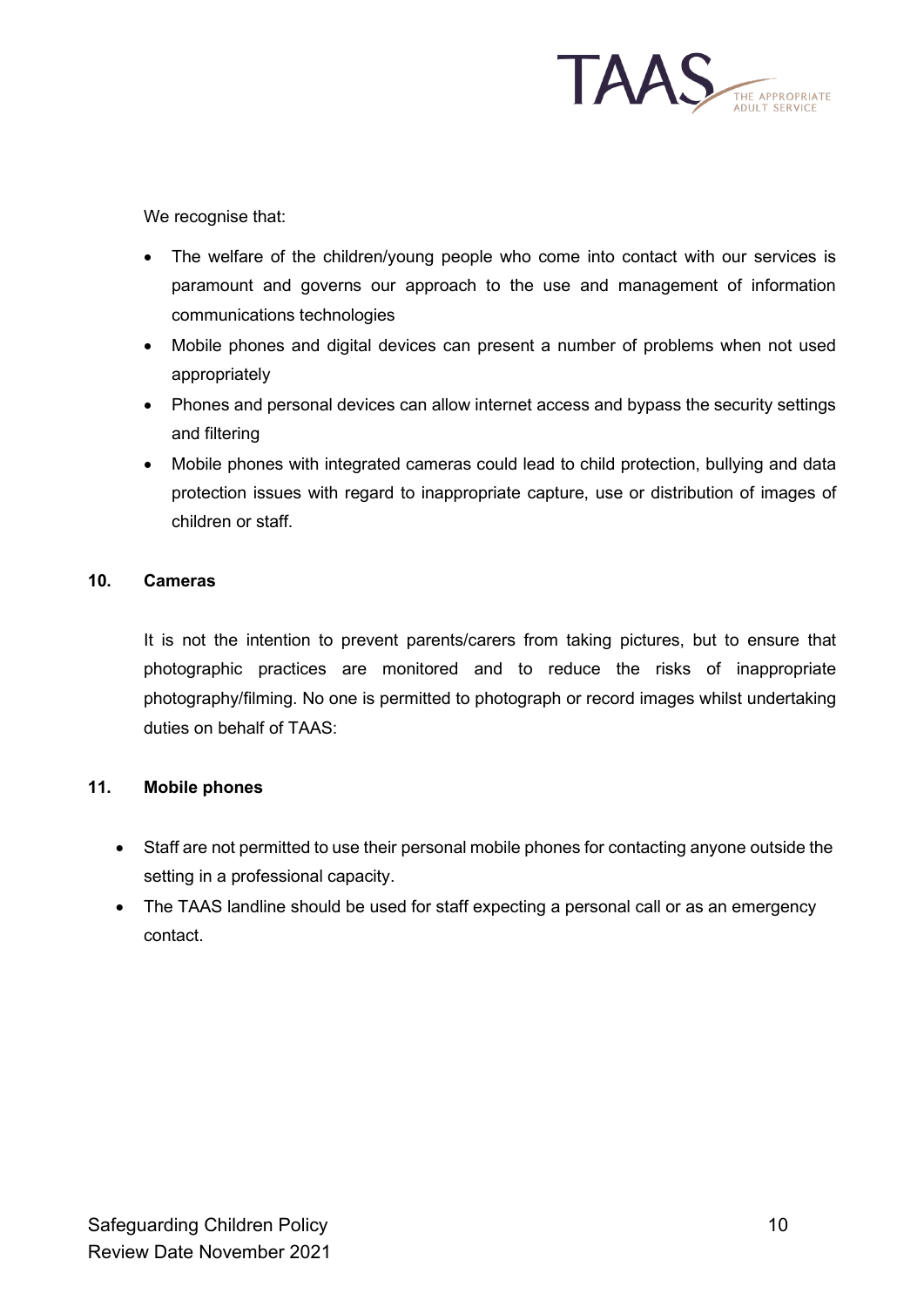

We recognise that:

- The welfare of the children/young people who come into contact with our services is paramount and governs our approach to the use and management of information communications technologies
- Mobile phones and digital devices can present a number of problems when not used appropriately
- Phones and personal devices can allow internet access and bypass the security settings and filtering
- Mobile phones with integrated cameras could lead to child protection, bullying and data protection issues with regard to inappropriate capture, use or distribution of images of children or staff.

## **10. Cameras**

It is not the intention to prevent parents/carers from taking pictures, but to ensure that photographic practices are monitored and to reduce the risks of inappropriate photography/filming. No one is permitted to photograph or record images whilst undertaking duties on behalf of TAAS:

## **11. Mobile phones**

- Staff are not permitted to use their personal mobile phones for contacting anyone outside the setting in a professional capacity.
- The TAAS landline should be used for staff expecting a personal call or as an emergency contact.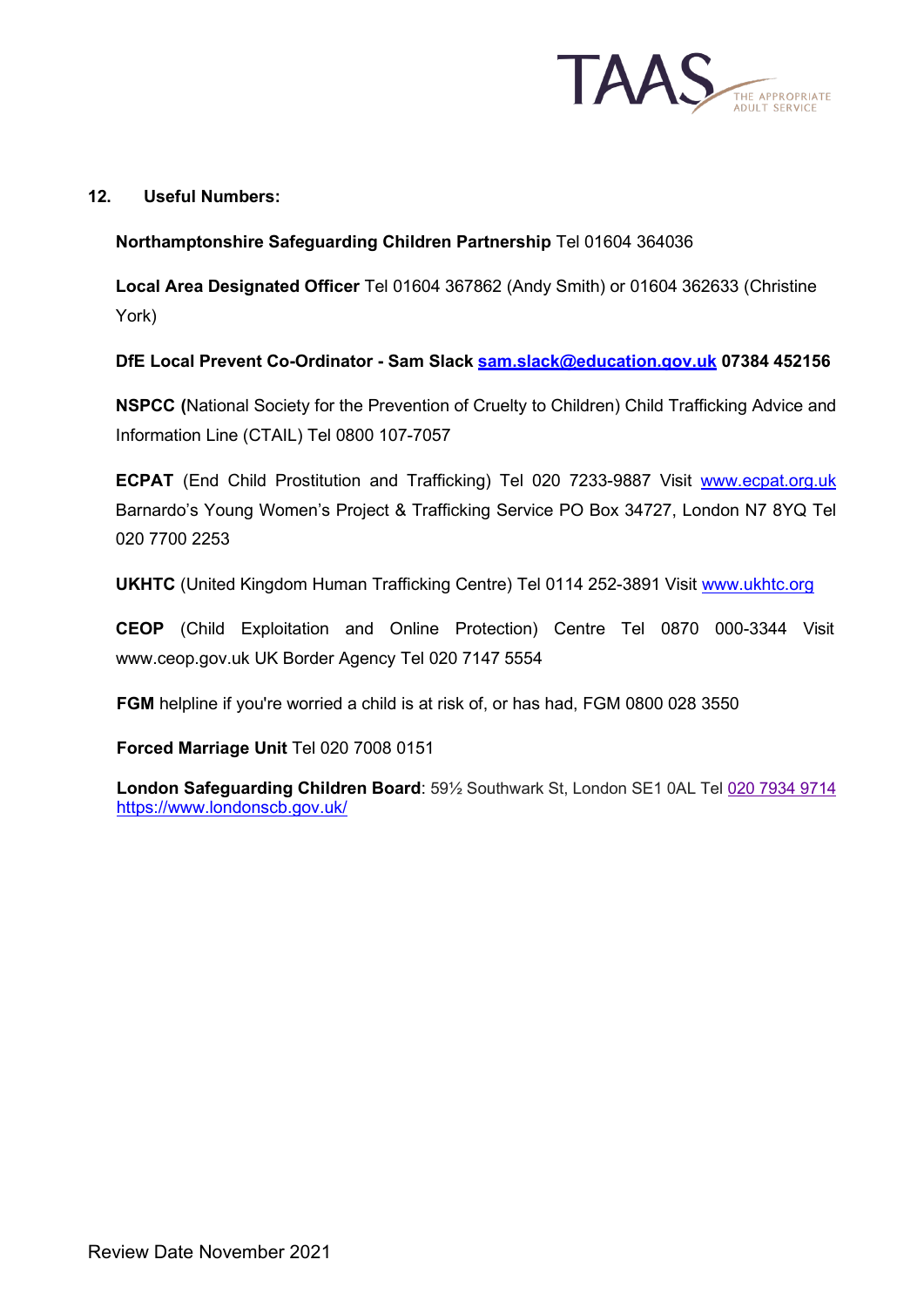

## **12. Useful Numbers:**

## **Northamptonshire Safeguarding Children Partnership** Tel 01604 364036

**Local Area Designated Officer** Tel 01604 367862 (Andy Smith) or 01604 362633 (Christine York)

**DfE Local Prevent Co-Ordinator - Sam Slack [sam.slack@education.gov.uk](mailto:sam.slack@education.gov.uk) 07384 452156**

**NSPCC (**National Society for the Prevention of Cruelty to Children) Child Trafficking Advice and Information Line (CTAIL) Tel 0800 107-7057

**ECPAT** (End Child Prostitution and Trafficking) Tel 020 7233-9887 Visit [www.ecpat.org.uk](http://www.ecpat.org.uk/) Barnardo's Young Women's Project & Trafficking Service PO Box 34727, London N7 8YQ Tel 020 7700 2253

**UKHTC** (United Kingdom Human Trafficking Centre) Tel 0114 252-3891 Visit [www.ukhtc.org](http://www.ukhtc.org/)

**CEOP** (Child Exploitation and Online Protection) Centre Tel 0870 000-3344 Visi[t](http://www.ceop.gov.uk/) [www.ceop.gov.uk U](http://www.ceop.gov.uk/)K Border Agency Tel 020 7147 5554

**FGM** helpline if you're worried a child is at risk of, or has had, FGM 0800 028 3550

#### **Forced Marriage Unit** Tel 020 7008 0151

**London Safeguarding Children Board**: 59½ Southwark St, London SE1 0AL Tel [020 7934 9714](https://www.google.com/search?gs_ssp=eJzj4tVP1zc0TEmJLzAozks2YLRSNagwsTA3MzBJtLBIM7MwNk9MsjKoSEu2NDdIM0s2SEkxsDRKtvCSzMnPS8nPUyhOTEtNL00sSsnMS1dIygcyAL84GS4&q=london+safeguarding+board&rlz=1C1CHBF_en-GBGB854GB854&oq=london+safe&aqs=chrome.3.0j0i457j69i57j46i175i199j0l4.8007j0j4&sourceid=chrome&ie=UTF-8) <https://www.londonscb.gov.uk/>